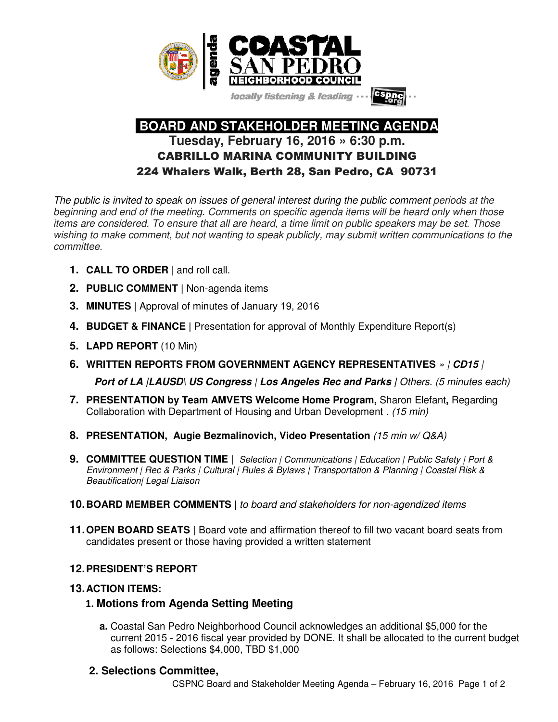

locally listening & leading -

# **BOARD AND STAKEHOLDER MEETING AGENDA Tuesday, February 16, 2016 » 6:30 p.m.**  CABRILLO MARINA COMMUNITY BUILDING 224 Whalers Walk, Berth 28, San Pedro, CA 90731

The public is invited to speak on issues of general interest during the public comment periods at the beginning and end of the meeting. Comments on specific agenda items will be heard only when those items are considered. To ensure that all are heard, a time limit on public speakers may be set. Those wishing to make comment, but not wanting to speak publicly, may submit written communications to the committee.

- **1. CALL TO ORDER** | and roll call.
- **2. PUBLIC COMMENT |** Non-agenda items
- **3. MINUTES** | Approval of minutes of January 19, 2016
- **4. BUDGET & FINANCE |** Presentation for approval of Monthly Expenditure Report(s)
- **5. LAPD REPORT** (10 Min)
- **6. WRITTEN REPORTS FROM GOVERNMENT AGENCY REPRESENTATIVES** » | **CD15** |

**Port of LA** *|LAUSD\ US Congress* **/ Los Angeles Rec and Parks /** Others. (5 minutes each)

- **7. PRESENTATION by Team AMVETS Welcome Home Program,** Sharon Elefant**,** Regarding Collaboration with Department of Housing and Urban Development . (15 min)
- **8. PRESENTATION, Augie Bezmalinovich, Video Presentation** (15 min w/ Q&A)
- **9. COMMITTEE QUESTION TIME |** Selection | Communications | Education | Public Safety | Port & Environment | Rec & Parks | Cultural | Rules & Bylaws | Transportation & Planning | Coastal Risk & Beautification| Legal Liaison
- **10. BOARD MEMBER COMMENTS** | to board and stakeholders for non-agendized items
- **11. OPEN BOARD SEATS** | Board vote and affirmation thereof to fill two vacant board seats from candidates present or those having provided a written statement

# **12. PRESIDENT'S REPORT**

#### **13. ACTION ITEMS:**

# 1. **Motions from Agenda Setting Meeting**

 **a.** Coastal San Pedro Neighborhood Council acknowledges an additional \$5,000 for the current 2015 - 2016 fiscal year provided by DONE. It shall be allocated to the current budget as follows: Selections \$4,000, TBD \$1,000

# **2. Selections Committee,**